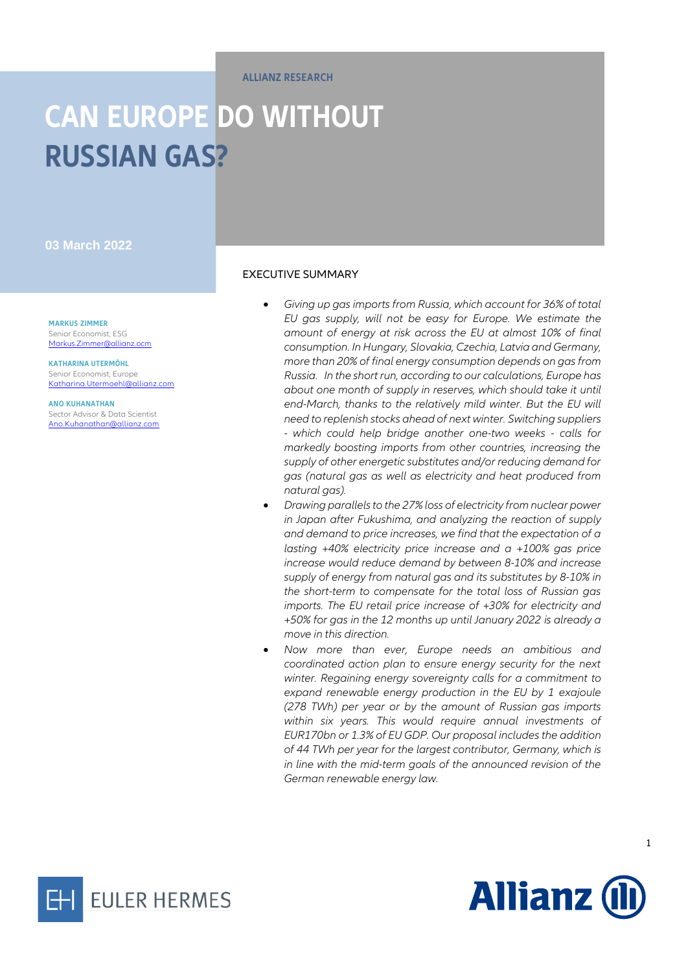**ALLIANZ RESEARCH**

## **CAN EUROPE DO WITHOUT RUSSIAN GAS?**

**03 March 2022**

**MARKUS ZIMMER** Senior Economist, ESG [Markus.Zimmer@allianz.ocm](mailto:Markus.Zimmer@allianz.ocm)

**KATHARINA UTERMÖHL** Senior Economist, Europe [Katharina.Utermoehl@allianz.com](mailto:katharina.utermoehl@allianz.com)

**ANO KUHANATHAN** Sector Advisor & Data Scientist [Ano.Kuhanathan@allianz.com](mailto:Ano.Kuhanathan@allianz.com)

## EXECUTIVE SUMMARY

- *Giving up gas imports from Russia, which account for 36% of total EU gas supply, will not be easy for Europe. We estimate the amount of energy at risk across the EU at almost 10% of final consumption. In Hungary, Slovakia, Czechia, Latvia and Germany, more than 20% of final energy consumption depends on gas from Russia. In the short run, according to our calculations, Europe has about one month of supply in reserves, which should take it until end-March, thanks to the relatively mild winter. But the EU will need to replenish stocks ahead of next winter. Switching suppliers - which could help bridge another one-two weeks - calls for markedly boosting imports from other countries, increasing the supply of other energetic substitutes and/or reducing demand for gas (natural gas as well as electricity and heat produced from natural gas).*
- *Drawing parallels to the 27% loss of electricity from nuclear power in Japan after Fukushima, and analyzing the reaction of supply and demand to price increases, we find that the expectation of a lasting +40% electricity price increase and a +100% gas price increase would reduce demand by between 8-10% and increase supply of energy from natural gas and its substitutes by 8-10% in the short-term to compensate for the total loss of Russian gas imports. The EU retail price increase of +30% for electricity and +50% for gas in the 12 months up until January 2022 is already a move in this direction.*
- *Now more than ever, Europe needs an ambitious and coordinated action plan to ensure energy security for the next winter. Regaining energy sovereignty calls for a commitment to expand renewable energy production in the EU by 1 exajoule (278 TWh) per year or by the amount of Russian gas imports within six years. This would require annual investments of EUR170bn or 1.3% of EU GDP. Our proposal includes the addition of 44 TWh per year for the largest contributor, Germany, which is in line with the mid-term goals of the announced revision of the German renewable energy law.*



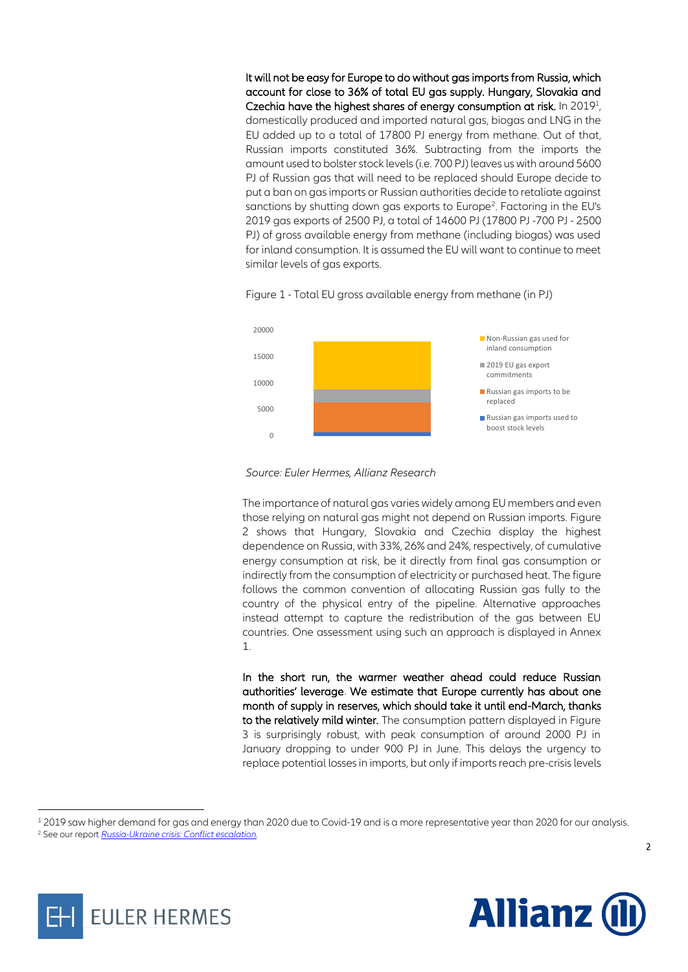It will not be easy for Europe to do without gas imports from Russia, which account for close to 36% of total EU gas supply. Hungary, Slovakia and Czechia have the highest shares of energy consumption at risk. In 2019<sup>1</sup>, , domestically produced and imported natural gas, biogas and LNG in the EU added up to a total of 17800 PJ energy from methane. Out of that, Russian imports constituted 36%. Subtracting from the imports the amount used to bolster stock levels (i.e. 700 PJ) leaves us with around 5600 PJ of Russian gas that will need to be replaced should Europe decide to put a ban on gas imports or Russian authorities decide to retaliate against sanctions by shutting down gas exports to Europe<sup>2</sup>. Factoring in the EU's 2019 gas exports of 2500 PJ, a total of 14600 PJ (17800 PJ -700 PJ - 2500 PJ) of gross available energy from methane (including biogas) was used for inland consumption. It is assumed the EU will want to continue to meet similar levels of gas exports.





The importance of natural gas varies widely among EU members and even those relying on natural gas might not depend on Russian imports. Figure 2 shows that Hungary, Slovakia and Czechia display the highest dependence on Russia, with 33%, 26% and 24%, respectively, of cumulative energy consumption at risk, be it directly from final gas consumption or indirectly from the consumption of electricity or purchased heat. The figure follows the common convention of allocating Russian gas fully to the country of the physical entry of the pipeline. Alternative approaches instead attempt to capture the redistribution of the gas between EU countries. One assessment using such an approach is displayed in Annex 1.

In the short run, the warmer weather ahead could reduce Russian authorities' leverage. We estimate that Europe currently has about one month of supply in reserves, which should take it until end-March, thanks to the relatively mild winter. The consumption pattern displayed in Figure 3 is surprisingly robust, with peak consumption of around 2000 PJ in January dropping to under 900 PJ in June. This delays the urgency to replace potential losses in imports, but only if imports reach pre-crisis levels

**EULER HERMES** 



*Source: Euler Hermes, Allianz Research*

<sup>&</sup>lt;sup>1</sup> 2019 saw higher demand for gas and energy than 2020 due to Covid-19 and is a more representative year than 2020 for our analysis. <sup>2</sup> See our report *[Russia-Ukraine crisis: Conflict escalation.](https://www.allianz.com/en/economic_research/publications/specials_fmo/2022_02_24_RussiaUkraine.html)*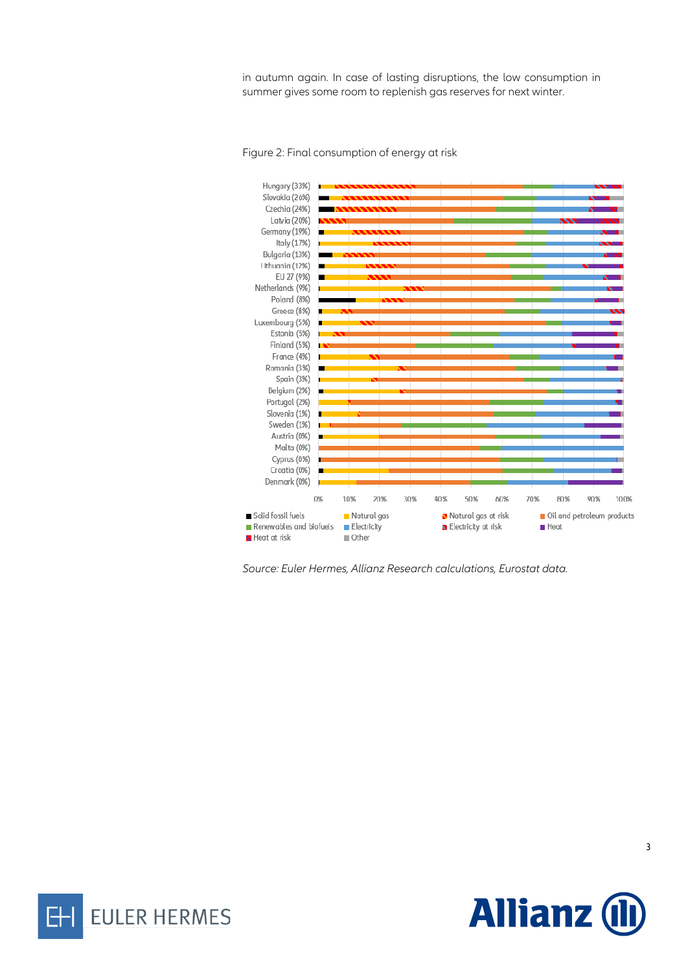in autumn again. In case of lasting disruptions, the low consumption in summer gives some room to replenish gas reserves for next winter.



Figure 2: Final consumption of energy at risk

*Source: Euler Hermes, Allianz Research calculations, Eurostat data.* 

**EULER HERMES** 

ŒΗ



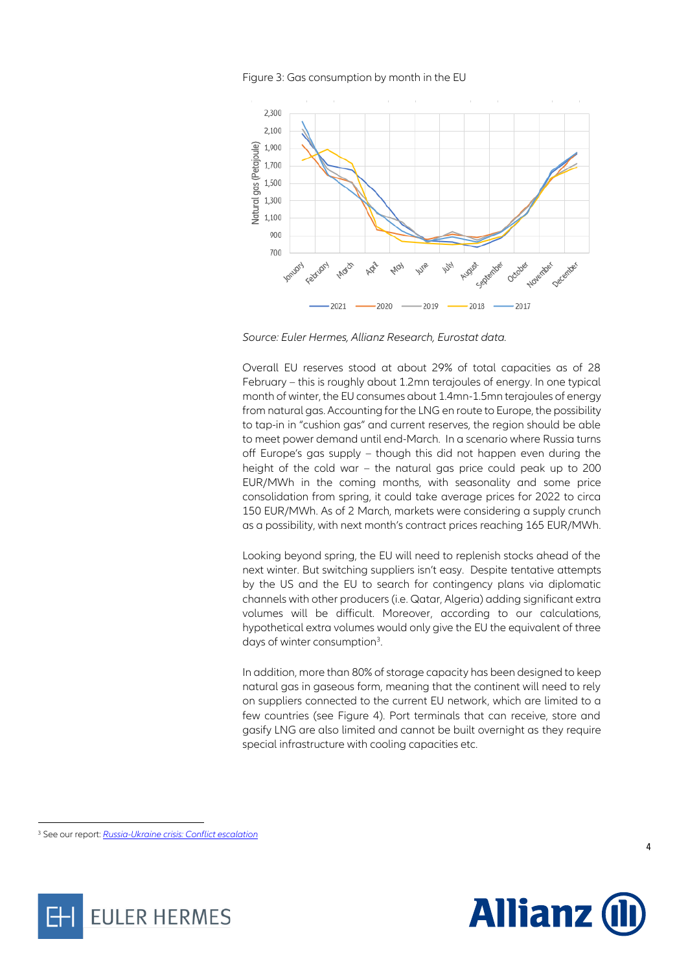Figure 3: Gas consumption by month in the EU



*Source: Euler Hermes, Allianz Research, Eurostat data.* 

Overall EU reserves stood at about 29% of total capacities as of 28 February – this is roughly about 1.2mn terajoules of energy. In one typical month of winter, the EU consumes about 1.4mn-1.5mn terajoules of energy from natural gas. Accounting for the LNG en route to Europe, the possibility to tap-in in "cushion gas" and current reserves, the region should be able to meet power demand until end-March. In a scenario where Russia turns off Europe's gas supply – though this did not happen even during the height of the cold war – the natural gas price could peak up to 200 EUR/MWh in the coming months, with seasonality and some price consolidation from spring, it could take average prices for 2022 to circa 150 EUR/MWh. As of 2 March, markets were considering a supply crunch as a possibility, with next month's contract prices reaching 165 EUR/MWh.

Looking beyond spring, the EU will need to replenish stocks ahead of the next winter. But switching suppliers isn't easy. Despite tentative attempts by the US and the EU to search for contingency plans via diplomatic channels with other producers (i.e. Qatar, Algeria) adding significant extra volumes will be difficult. Moreover, according to our calculations, hypothetical extra volumes would only give the EU the equivalent of three days of winter consumption<sup>3</sup>. .

In addition, more than 80% of storage capacity has been designed to keep natural gas in gaseous form, meaning that the continent will need to rely on suppliers connected to the current EU network, which are limited to a few countries (see Figure 4). Port terminals that can receive, store and gasify LNG are also limited and cannot be built overnight as they require special infrastructure with cooling capacities etc.



4



<sup>3</sup> See our report: *[Russia-Ukraine crisis: Conflict escalation](https://www.allianz.com/en/economic_research/publications/specials_fmo/2022_02_24_RussiaUkraine.html)*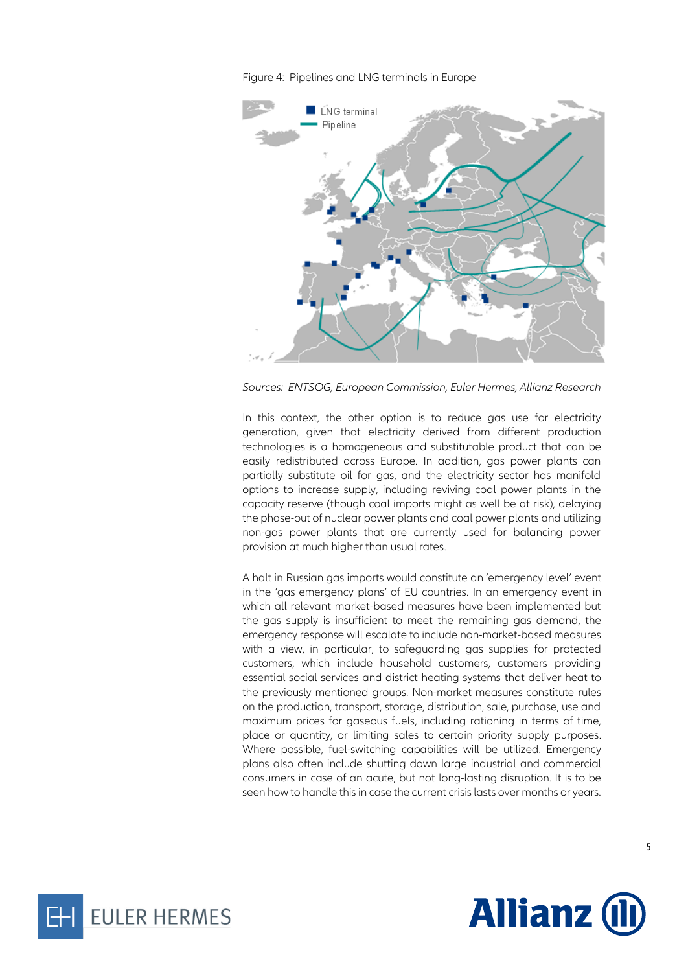Figure 4: Pipelines and LNG terminals in Europe



*Sources: ENTSOG, European Commission, Euler Hermes, Allianz Research*

In this context, the other option is to reduce gas use for electricity generation, given that electricity derived from different production technologies is a homogeneous and substitutable product that can be easily redistributed across Europe. In addition, gas power plants can partially substitute oil for gas, and the electricity sector has manifold options to increase supply, including reviving coal power plants in the capacity reserve (though coal imports might as well be at risk), delaying the phase-out of nuclear power plants and coal power plants and utilizing non-gas power plants that are currently used for balancing power provision at much higher than usual rates.

A halt in Russian gas imports would constitute an 'emergency level' event in the 'gas emergency plans' of EU countries. In an emergency event in which all relevant market-based measures have been implemented but the gas supply is insufficient to meet the remaining gas demand, the emergency response will escalate to include non-market-based measures with a view, in particular, to safeguarding gas supplies for protected customers, which include household customers, customers providing essential social services and district heating systems that deliver heat to the previously mentioned groups. Non-market measures constitute rules on the production, transport, storage, distribution, sale, purchase, use and maximum prices for gaseous fuels, including rationing in terms of time, place or quantity, or limiting sales to certain priority supply purposes. Where possible, fuel-switching capabilities will be utilized. Emergency plans also often include shutting down large industrial and commercial consumers in case of an acute, but not long-lasting disruption. It is to be seen how to handle this in case the current crisis lasts over months or years.



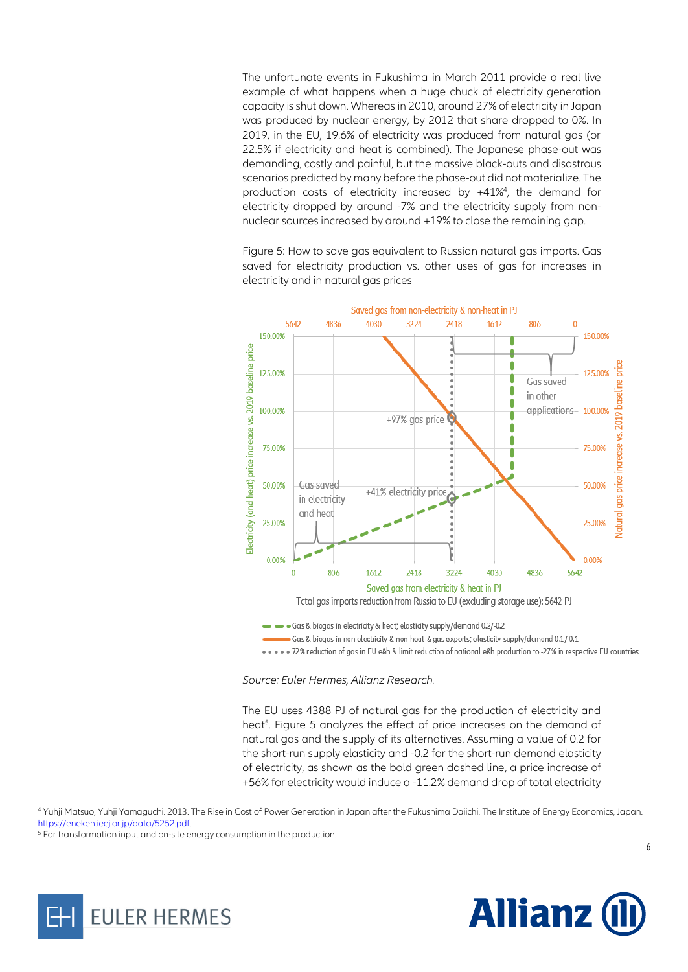The unfortunate events in Fukushima in March 2011 provide a real live example of what happens when a huge chuck of electricity generation capacity is shut down. Whereas in 2010, around 27% of electricity in Japan was produced by nuclear energy, by 2012 that share dropped to 0%. In 2019, in the EU, 19.6% of electricity was produced from natural gas (or 22.5% if electricity and heat is combined). The Japanese phase-out was demanding, costly and painful, but the massive black-outs and disastrous scenarios predicted by many before the phase-out did not materialize. The production costs of electricity increased by +41%<sup>4</sup> , the demand for electricity dropped by around -7% and the electricity supply from nonnuclear sources increased by around +19% to close the remaining gap.

Figure 5: How to save gas equivalent to Russian natural gas imports. Gas saved for electricity production vs. other uses of gas for increases in electricity and in natural gas prices



- Gas & biogas in non-electricity & non-heat & gas exports; elasticity supply/demand 0.1/-0.1

. . . . 72% reduction of gas in EU e&h & limit reduction of national e&h production to-27% in respective EU countries

*Source: Euler Hermes, Allianz Research.*

The EU uses 4388 PJ of natural gas for the production of electricity and heat<sup>5</sup>. Figure 5 analyzes the effect of price increases on the demand of natural gas and the supply of its alternatives. Assuming a value of 0.2 for the short-run supply elasticity and -0.2 for the short-run demand elasticity of electricity, as shown as the bold green dashed line, a price increase of +56% for electricity would induce a -11.2% demand drop of total electricity





<sup>4</sup> Yuhji Matsuo, Yuhji Yamaguchi. 2013. The Rise in Cost of Power Generation in Japan after the Fukushima Daiichi. The Institute of Energy Economics, Japan. [https://eneken.ieej.or.jp/data/5252.pdf.](https://eneken.ieej.or.jp/data/5252.pdf)

<sup>5</sup> For transformation input and on-site energy consumption in the production.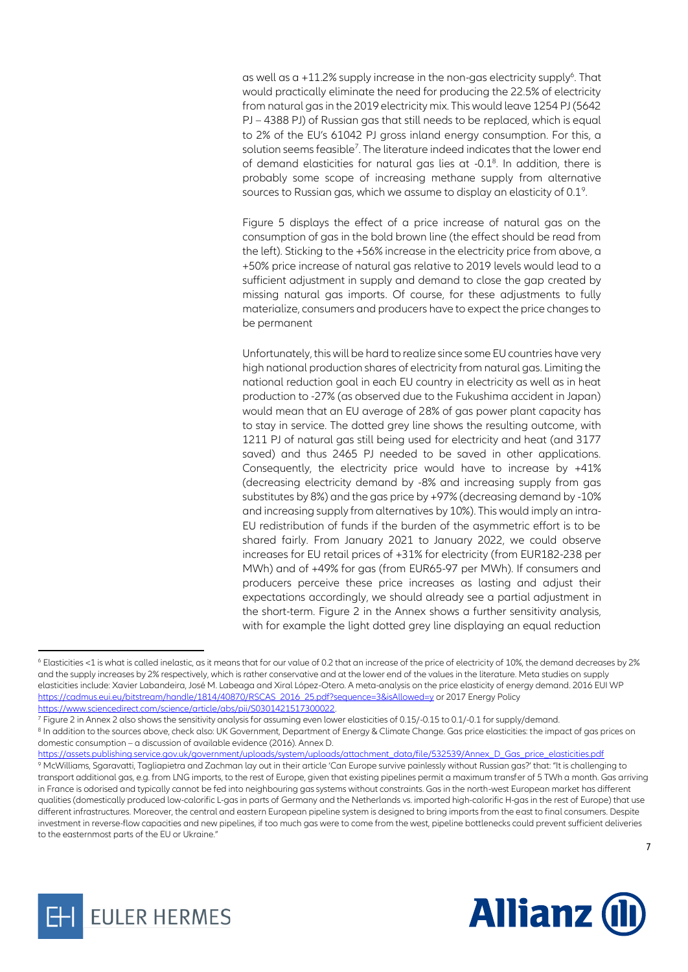as well as a  $+11.2\%$  supply increase in the non-gas electricity supply $^6$ . That would practically eliminate the need for producing the 22.5% of electricity from natural gas in the 2019 electricity mix. This would leave 1254 PJ (5642 PJ – 4388 PJ) of Russian gas that still needs to be replaced, which is equal to 2% of the EU's 61042 PJ gross inland energy consumption. For this, a solution seems feasible<sup>7</sup> . The literature indeed indicates that the lower end of demand elasticities for natural gas lies at -0.1<sup>8</sup> . In addition, there is probably some scope of increasing methane supply from alternative sources to Russian gas, which we assume to display an elasticity of 0.1 $^{\circ}$ .

Figure 5 displays the effect of a price increase of natural gas on the consumption of gas in the bold brown line (the effect should be read from the left). Sticking to the +56% increase in the electricity price from above, a +50% price increase of natural gas relative to 2019 levels would lead to a sufficient adjustment in supply and demand to close the gap created by missing natural gas imports. Of course, for these adjustments to fully materialize, consumers and producers have to expect the price changes to be permanent

Unfortunately, this will be hard to realize since some EU countries have very high national production shares of electricity from natural gas. Limiting the national reduction goal in each EU country in electricity as well as in heat production to -27% (as observed due to the Fukushima accident in Japan) would mean that an EU average of 28% of gas power plant capacity has to stay in service. The dotted grey line shows the resulting outcome, with 1211 PJ of natural gas still being used for electricity and heat (and 3177 saved) and thus 2465 PJ needed to be saved in other applications. Consequently, the electricity price would have to increase by +41% (decreasing electricity demand by -8% and increasing supply from gas substitutes by 8%) and the gas price by +97% (decreasing demand by -10% and increasing supply from alternatives by 10%). This would imply an intra-EU redistribution of funds if the burden of the asymmetric effort is to be shared fairly. From January 2021 to January 2022, we could observe increases for EU retail prices of +31% for electricity (from EUR182-238 per MWh) and of +49% for gas (from EUR65-97 per MWh). If consumers and producers perceive these price increases as lasting and adjust their expectations accordingly, we should already see a partial adjustment in the short-term. Figure 2 in the Annex shows a further sensitivity analysis, with for example the light dotted grey line displaying an equal reduction

<sup>7</sup> [https://assets.publishing.service.gov.uk/government/uploads/system/uploads/attachment\\_data/file/532539/Annex\\_D\\_Gas\\_price\\_elasticities.pdf](https://assets.publishing.service.gov.uk/government/uploads/system/uploads/attachment_data/file/532539/Annex_D_Gas_price_elasticities.pdf) 9 McWilliams, Sgaravatti, Tagliapietra and Zachman lay out in their article 'Can Europe survive painlessly without Russian gas?' that: "It is challenging to transport additional gas, e.g. from LNG imports, to the rest of Europe, given that existing pipelines permit a maximum transfer of 5 TWh a month. Gas arriving in France is odorised and typically cannot be fed into neighbouring gas systems without constraints. Gas in the north-west European market has different qualities (domestically produced low-calorific L-gas in parts of Germany and the Netherlands vs. imported high-calorific H-gas in the rest of Europe) that use different infrastructures. Moreover, the central and eastern European pipeline system is designed to bring imports from the east to final consumers. Despite investment in reverse-flow capacities and new pipelines, if too much gas were to come from the west, pipeline bottlenecks could prevent sufficient deliveries to the easternmost parts of the EU or Ukraine."





<sup>6</sup> Elasticities <1 is what is called inelastic, as it means that for our value of 0.2 that an increase of the price of electricity of 10%, the demand decreases by 2% and the supply increases by 2% respectively, which is rather conservative and at the lower end of the values in the literature. Meta studies on supply elasticities include: Xavier Labandeira, José M. Labeaga and Xiral López-Otero. A meta-analysis on the price elasticity of energy demand. 2016 EUI WP [https://cadmus.eui.eu/bitstream/handle/1814/40870/RSCAS\\_2016\\_25.pdf?sequence=3&isAllowed=y](https://cadmus.eui.eu/bitstream/handle/1814/40870/RSCAS_2016_25.pdf?sequence=3&isAllowed=y) or 2017 Energy Policy [https://www.sciencedirect.com/science/article/abs/pii/S0301421517300022.](https://www.sciencedirect.com/science/article/abs/pii/S0301421517300022)

<sup>7</sup> Figure 2 in Annex 2 also shows the sensitivity analysis for assuming even lower elasticities of 0.15/-0.15 to 0.1/-0.1 for supply/demand.

<sup>&</sup>lt;sup>8</sup> In addition to the sources above, check also: UK Government, Department of Energy & Climate Change. Gas price elasticities: the impact of gas prices on domestic consumption – a discussion of available evidence (2016). Annex D.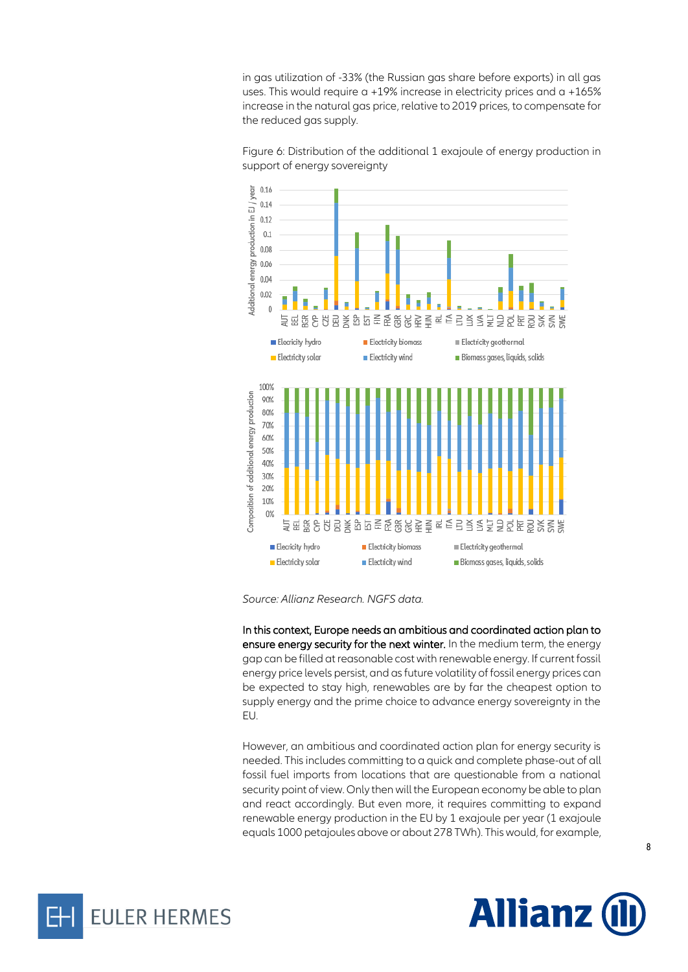in gas utilization of -33% (the Russian gas share before exports) in all gas uses. This would require a +19% increase in electricity prices and a +165% increase in the natural gas price, relative to 2019 prices, to compensate for the reduced gas supply.

year  $0.16$  $0.14$ production in EJ /  $0.12$  $0.1$ 0.08 Additional energy 0.06 0.04  $0.02$  $\mathbb O$  $\epsilon$ **벙림** 좋 없 젊 로 준 暖  $\leqq \leq$  $\tilde{\equiv}$ ŠŚ 들을 호복 自忌 g GR<br>₩ 르  $25.58$ Elecricity hydro Electricity biomass Electricity geothermal Electricity solar Electricity wind Biomass gases, liquids, solids 100% production 90% 80% 70% energy 60% 50% Composition of additional 40% 30%

Figure 6: Distribution of the additional 1 exajoule of energy production in support of energy sovereignty

*Source: Allianz Research. NGFS data.* 

20% 10%  $0\%$ 

Elecricity hydro

Electricity solar

In this context, Europe needs an ambitious and coordinated action plan to ensure energy security for the next winter. In the medium term, the energy gap can be filled at reasonable cost with renewable energy. If current fossil energy price levels persist, and as future volatility of fossil energy prices can be expected to stay high, renewables are by far the cheapest option to supply energy and the prime choice to advance energy sovereignty in the EU.

莫펆뗧웡벉펌츷떲쩝륹뚅뜒윦혗흧혘툑吕킞큏쥼큵핰뚐헣쯫쯫뿛

Electricity geothermal

Biomass gases, liquids, solids

Electricity biomass

Electricity wind

However, an ambitious and coordinated action plan for energy security is needed. This includes committing to a quick and complete phase-out of all fossil fuel imports from locations that are questionable from a national security point of view. Only then will the European economy be able to plan and react accordingly. But even more, it requires committing to expand renewable energy production in the EU by 1 exajoule per year (1 exajoule equals 1000 petajoules above or about 278 TWh). This would, for example,



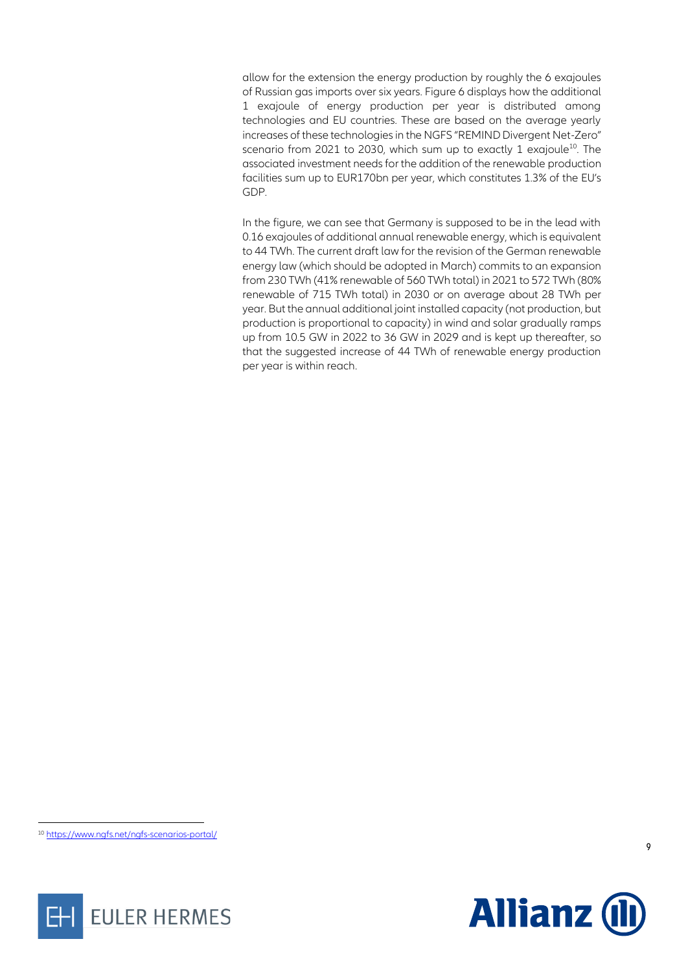allow for the extension the energy production by roughly the 6 exajoules of Russian gas imports over six years. Figure 6 displays how the additional 1 exajoule of energy production per year is distributed among technologies and EU countries. These are based on the average yearly increases of these technologies in the NGFS "REMIND Divergent Net-Zero" scenario from 2021 to 2030, which sum up to exactly 1 exajoule<sup>10</sup>. The associated investment needs for the addition of the renewable production facilities sum up to EUR170bn per year, which constitutes 1.3% of the EU's GDP.

In the figure, we can see that Germany is supposed to be in the lead with 0.16 exajoules of additional annual renewable energy, which is equivalent to 44 TWh. The current draft law for the revision of the German renewable energy law (which should be adopted in March) commits to an expansion from 230 TWh (41% renewable of 560 TWh total) in 2021 to 572 TWh (80% renewable of 715 TWh total) in 2030 or on average about 28 TWh per year. But the annual additional joint installed capacity (not production, but production is proportional to capacity) in wind and solar gradually ramps up from 10.5 GW in 2022 to 36 GW in 2029 and is kept up thereafter, so that the suggested increase of 44 TWh of renewable energy production per year is within reach.





<sup>10</sup> <https://www.ngfs.net/ngfs-scenarios-portal/>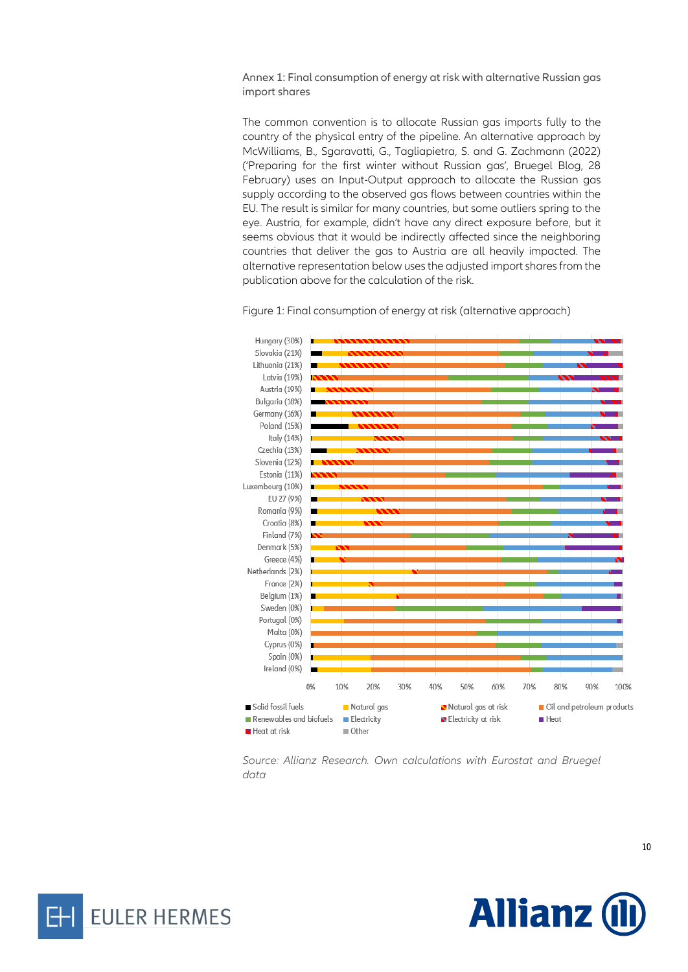Annex 1: Final consumption of energy at risk with alternative Russian gas import shares

The common convention is to allocate Russian gas imports fully to the country of the physical entry of the pipeline. An alternative approach by McWilliams, B., Sgaravatti, G., Tagliapietra, S. and G. Zachmann (2022) ('Preparing for the first winter without Russian gas', Bruegel Blog, 28 February) uses an Input-Output approach to allocate the Russian gas supply according to the observed gas flows between countries within the EU. The result is similar for many countries, but some outliers spring to the eye. Austria, for example, didn't have any direct exposure before, but it seems obvious that it would be indirectly affected since the neighboring countries that deliver the gas to Austria are all heavily impacted. The alternative representation below uses the adjusted import shares from the publication above for the calculation of the risk.



Figure 1: Final consumption of energy at risk (alternative approach)

*Source: Allianz Research. Own calculations with Eurostat and Bruegel data*

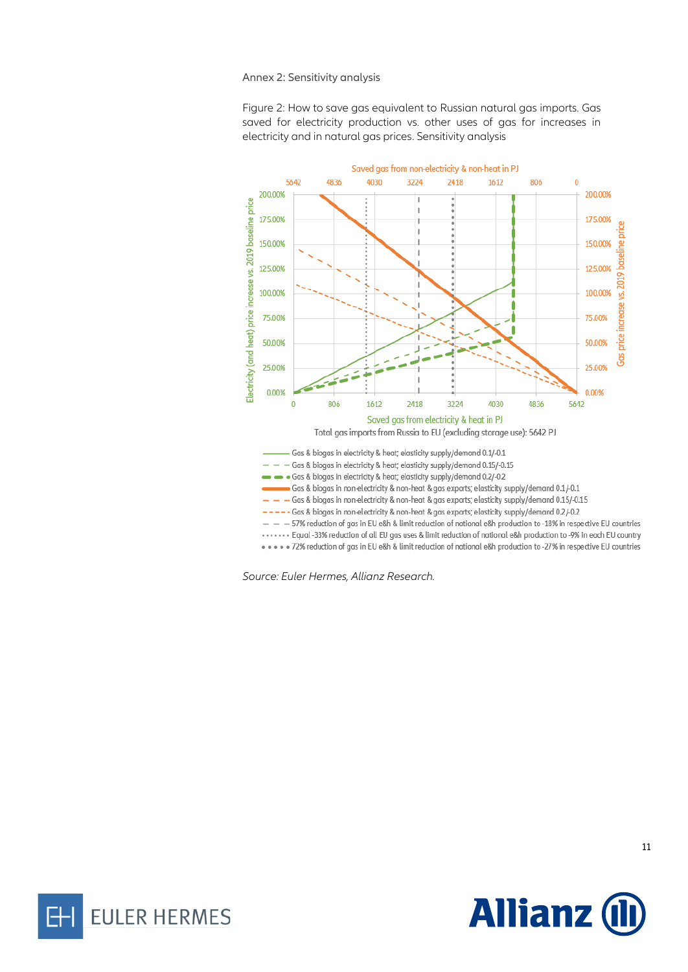Annex 2: Sensitivity analysis

Figure 2: How to save gas equivalent to Russian natural gas imports. Gas saved for electricity production vs. other uses of gas for increases in electricity and in natural gas prices. Sensitivity analysis



*Source: Euler Hermes, Allianz Research.*